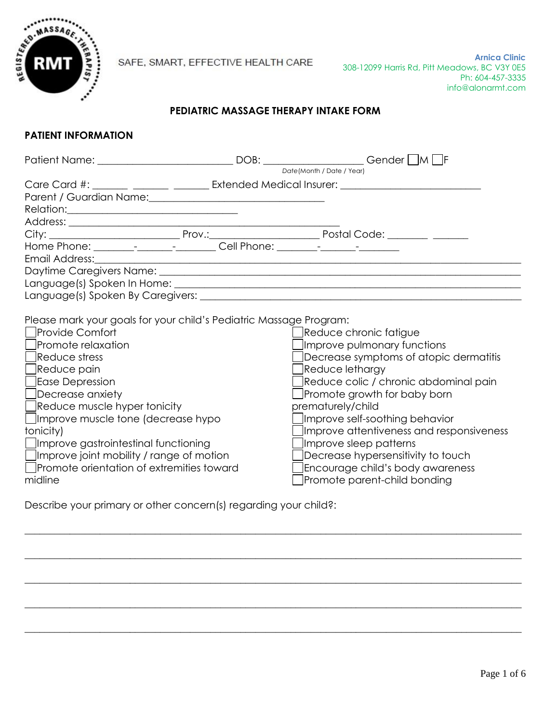

# **PEDIATRIC MASSAGE THERAPY INTAKE FORM**

### **PATIENT INFORMATION**

|                                                                                                                                                                                                                                                                                                                                                                                                                                                  | Patient Name: _________________________________DOB: ____________________Gender □M □F                                                                                                                                                                                                                                                                                                                                               |
|--------------------------------------------------------------------------------------------------------------------------------------------------------------------------------------------------------------------------------------------------------------------------------------------------------------------------------------------------------------------------------------------------------------------------------------------------|------------------------------------------------------------------------------------------------------------------------------------------------------------------------------------------------------------------------------------------------------------------------------------------------------------------------------------------------------------------------------------------------------------------------------------|
|                                                                                                                                                                                                                                                                                                                                                                                                                                                  | Date(Month / Date / Year)                                                                                                                                                                                                                                                                                                                                                                                                          |
|                                                                                                                                                                                                                                                                                                                                                                                                                                                  | Care Card #: _______ _______ ________ Extended Medical Insurer: _________________                                                                                                                                                                                                                                                                                                                                                  |
| Parent / Guardian Name: \\connection \\connection \\connection \\connection \\connection \\connection \\connection \\connection \\connection \\connection \\connection \\connection \\connection \\connection \\connection \\c                                                                                                                                                                                                                   |                                                                                                                                                                                                                                                                                                                                                                                                                                    |
| Relation: Network and the second state of the second state of the second state of the second state of the second state of the second state of the second state of the second state of the second state of the second state of                                                                                                                                                                                                                    |                                                                                                                                                                                                                                                                                                                                                                                                                                    |
|                                                                                                                                                                                                                                                                                                                                                                                                                                                  |                                                                                                                                                                                                                                                                                                                                                                                                                                    |
|                                                                                                                                                                                                                                                                                                                                                                                                                                                  |                                                                                                                                                                                                                                                                                                                                                                                                                                    |
| Home Phone: _______________________________Cell Phone: _________________________                                                                                                                                                                                                                                                                                                                                                                 |                                                                                                                                                                                                                                                                                                                                                                                                                                    |
| Email Address:                                                                                                                                                                                                                                                                                                                                                                                                                                   |                                                                                                                                                                                                                                                                                                                                                                                                                                    |
|                                                                                                                                                                                                                                                                                                                                                                                                                                                  |                                                                                                                                                                                                                                                                                                                                                                                                                                    |
|                                                                                                                                                                                                                                                                                                                                                                                                                                                  |                                                                                                                                                                                                                                                                                                                                                                                                                                    |
|                                                                                                                                                                                                                                                                                                                                                                                                                                                  |                                                                                                                                                                                                                                                                                                                                                                                                                                    |
| Please mark your goals for your child's Pediatric Massage Program:<br><b>Provide Comfort</b><br>Promote relaxation<br>Reduce stress<br>∫Reduce pain<br>Ease Depression<br>$\Box$ Decrease anxiety<br>Reduce muscle hyper tonicity<br>$\Box$ Improve muscle tone (decrease hypo<br>tonicity)<br>Improve gastrointestinal functioning<br>$\Box$ Improve joint mobility / range of motion<br>□ Promote orientation of extremities toward<br>midline | Reduce chronic fatigue<br>Improve pulmonary functions<br>Decrease symptoms of atopic dermatitis<br>Reduce lethargy<br>Reduce colic / chronic abdominal pain<br>Promote growth for baby born<br>prematurely/child<br>Improve self-soothing behavior<br>Improve attentiveness and responsiveness<br>Improve sleep patterns<br>Decrease hypersensitivity to touch<br>Encourage child's body awareness<br>Promote parent-child bonding |

 $\_$  , and the set of the set of the set of the set of the set of the set of the set of the set of the set of the set of the set of the set of the set of the set of the set of the set of the set of the set of the set of th

 $\_$  , and the set of the set of the set of the set of the set of the set of the set of the set of the set of the set of the set of the set of the set of the set of the set of the set of the set of the set of the set of th

 $\_$  , and the set of the set of the set of the set of the set of the set of the set of the set of the set of the set of the set of the set of the set of the set of the set of the set of the set of the set of the set of th

 $\_$  , and the set of the set of the set of the set of the set of the set of the set of the set of the set of the set of the set of the set of the set of the set of the set of the set of the set of the set of the set of th

 $\_$  , and the set of the set of the set of the set of the set of the set of the set of the set of the set of the set of the set of the set of the set of the set of the set of the set of the set of the set of the set of th

Describe your primary or other concern(s) regarding your child?: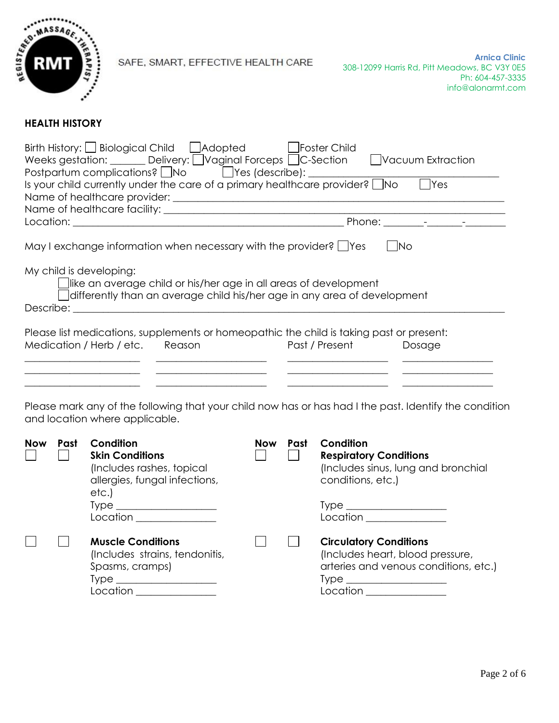

# **HEALTH HISTORY**

| Birth History: $\Box$ Biological Child $\Box$ Adopted<br>  Foster Child<br>Weeks gestation: ______ Delivery: Uvaginal Forceps DC-Section DVacuum Extraction<br>Postpartum complications? No Post (describe): 1<br><b>T</b> es<br>Is your child currently under the care of a primary healthcare provider? $\Box$ No |  |  |  |  |  |  |  |
|---------------------------------------------------------------------------------------------------------------------------------------------------------------------------------------------------------------------------------------------------------------------------------------------------------------------|--|--|--|--|--|--|--|
|                                                                                                                                                                                                                                                                                                                     |  |  |  |  |  |  |  |
|                                                                                                                                                                                                                                                                                                                     |  |  |  |  |  |  |  |
| May I exchange information when necessary with the provider? $\Box$ Yes<br><b>No</b><br>My child is developing:<br>like an average child or his/her age in all areas of development<br>differently than an average child his/her age in any area of development<br>Describe:                                        |  |  |  |  |  |  |  |
| Please list medications, supplements or homeopathic the child is taking past or present:                                                                                                                                                                                                                            |  |  |  |  |  |  |  |
| Medication / Herb / etc. Reason<br>Past / Present<br>Dosage                                                                                                                                                                                                                                                         |  |  |  |  |  |  |  |
|                                                                                                                                                                                                                                                                                                                     |  |  |  |  |  |  |  |

Please mark any of the following that your child now has or has had I the past. Identify the condition and location where applicable.

| <b>Now</b> | Past | Condition<br><b>Skin Conditions</b><br>(Includes rashes, topical<br>allergies, fungal infections,<br>etc.<br>$Type \_$<br>$\begin{picture}(150,10) \put(0,0){\vector(1,0){100}} \put(15,0){\vector(1,0){100}} \put(15,0){\vector(1,0){100}} \put(15,0){\vector(1,0){100}} \put(15,0){\vector(1,0){100}} \put(15,0){\vector(1,0){100}} \put(15,0){\vector(1,0){100}} \put(15,0){\vector(1,0){100}} \put(15,0){\vector(1,0){100}} \put(15,0){\vector(1,0){100}} \put(15,0){\vector(1,0){100}}$ | <b>Now</b> | Past | Condition<br><b>Respiratory Conditions</b><br>(Includes sinus, lung and bronchial<br>conditions, etc.)<br>$Type \begin{tabular}{c} \hline \rule[1mm]{1mm}{6mm} \rule[1mm]{2mm}{6mm} \rule[1mm]{2mm}{6mm} \rule[1mm]{2mm}{6mm} \rule[1mm]{2mm}{6mm} \rule[1mm]{2mm}{6mm} \rule[1mm]{2mm}{6mm} \rule[1mm]{2mm}{6mm} \rule[1mm]{2mm}{6mm} \rule[1mm]{2mm}{6mm} \rule[1mm]{2mm}{6mm} \rule[1mm]{2mm}{6mm} \rule[1mm]{2mm}{6mm} \rule[1mm]{2mm}{6mm} \rule[1mm]{2mm}{6mm} \rule[1mm]{2mm}{6mm} \rule[1mm]{2mm}{6mm} \rule[1$<br>$Location$ $_________$ |
|------------|------|----------------------------------------------------------------------------------------------------------------------------------------------------------------------------------------------------------------------------------------------------------------------------------------------------------------------------------------------------------------------------------------------------------------------------------------------------------------------------------------------|------------|------|---------------------------------------------------------------------------------------------------------------------------------------------------------------------------------------------------------------------------------------------------------------------------------------------------------------------------------------------------------------------------------------------------------------------------------------------------------------------------------------------------------------------------------------------------|
|            |      | <b>Muscle Conditions</b><br>(Includes strains, tendonitis,<br>Spasms, cramps)<br>$Type \_\_$<br>Location                                                                                                                                                                                                                                                                                                                                                                                     |            |      | <b>Circulatory Conditions</b><br>(Includes heart, blood pressure,<br>arteries and venous conditions, etc.)<br>$Type \_\_$<br>Location <b>Algebra 1996</b>                                                                                                                                                                                                                                                                                                                                                                                         |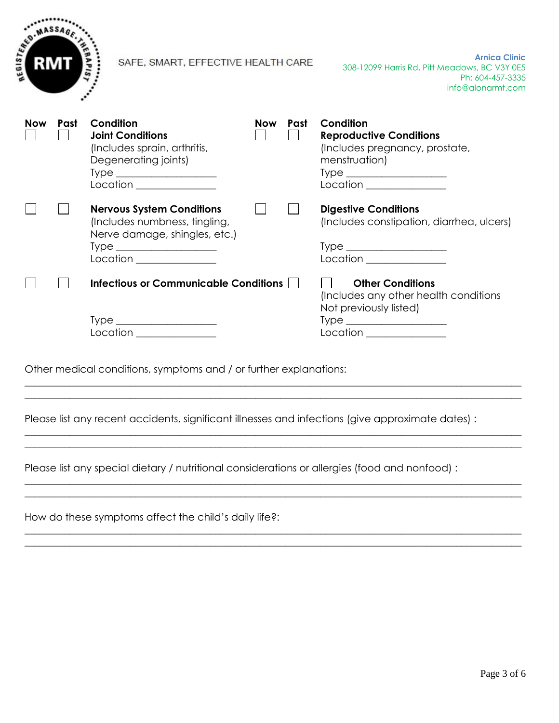

**Arnica Clinic** 308-12099 Harris Rd, Pitt Meadows, BC V3Y 0E5 Ph: 604-457-3335 info@alonarmt.com

| <b>Now</b> | Past | Condition<br><b>Joint Conditions</b><br>(Includes sprain, arthritis,<br>Degenerating joints)<br>$Type \_$<br>Location                                                                                                                                                                                                                                                                                                                        | <b>Now</b> | Past | Condition<br><b>Reproductive Conditions</b><br>(Includes pregnancy, prostate,<br>menstruation)<br>$Type \begin{tabular}{c} \hline \rule[1mm]{1mm}{6mm} \end{tabular}$<br>Location |  |
|------------|------|----------------------------------------------------------------------------------------------------------------------------------------------------------------------------------------------------------------------------------------------------------------------------------------------------------------------------------------------------------------------------------------------------------------------------------------------|------------|------|-----------------------------------------------------------------------------------------------------------------------------------------------------------------------------------|--|
|            |      | <b>Nervous System Conditions</b><br>(Includes numbness, tingling,<br>Nerve damage, shingles, etc.)                                                                                                                                                                                                                                                                                                                                           |            |      | <b>Digestive Conditions</b><br>(Includes constipation, diarrhea, ulcers)                                                                                                          |  |
|            |      | $Type \_\_$<br>Location                                                                                                                                                                                                                                                                                                                                                                                                                      |            |      | $Type \_$<br>Location                                                                                                                                                             |  |
|            |      | <b>Infectious or Communicable Conditions</b>                                                                                                                                                                                                                                                                                                                                                                                                 |            |      | <b>Other Conditions</b><br>(Includes any other health conditions)<br>Not previously listed)                                                                                       |  |
|            |      | $Type \begin{tabular}{c} \hline \rule[1mm]{1mm}{6mm} \rule[1mm]{1mm}{6mm} \rule[1mm]{1mm}{6mm} \rule[1mm]{1mm}{6mm} \rule[1mm]{1mm}{6mm} \rule[1mm]{1mm}{6mm} \rule[1mm]{1mm}{6mm} \rule[1mm]{1mm}{6mm} \rule[1mm]{1mm}{6mm} \rule[1mm]{1mm}{6mm} \rule[1mm]{1mm}{6mm} \rule[1mm]{1mm}{6mm} \rule[1mm]{1mm}{6mm} \rule[1mm]{1mm}{6mm} \rule[1mm]{1mm}{6mm} \rule[1mm]{1mm}{6mm} \rule[1mm]{1mm}{6mm} \rule[1$<br>Location <u>___________</u> |            |      | $Type \_$<br>Location _______________                                                                                                                                             |  |

Other medical conditions, symptoms and / or further explanations:

Please list any recent accidents, significant illnesses and infections (give approximate dates) :

 $\_$  ,  $\_$  ,  $\_$  ,  $\_$  ,  $\_$  ,  $\_$  ,  $\_$  ,  $\_$  ,  $\_$  ,  $\_$  ,  $\_$  ,  $\_$  ,  $\_$  ,  $\_$  ,  $\_$  ,  $\_$  ,  $\_$  ,  $\_$  ,  $\_$  ,  $\_$  ,  $\_$  ,  $\_$  ,  $\_$  ,  $\_$  ,  $\_$  ,  $\_$  ,  $\_$  ,  $\_$  ,  $\_$  ,  $\_$  ,  $\_$  ,  $\_$  ,  $\_$  ,  $\_$  ,  $\_$  ,  $\_$  ,  $\_$  ,  $\_$  ,  $\_$  ,  $\_$  ,  $\_$  ,  $\_$  ,  $\_$  ,  $\_$  ,  $\_$  ,  $\_$  ,  $\_$  ,  $\_$  ,  $\_$  ,  $\_$  ,  $\_$  ,  $\_$  ,  $\_$  ,  $\_$  ,  $\_$  ,  $\_$  ,  $\_$  ,  $\_$  ,  $\_$  ,  $\_$  ,  $\_$  ,  $\_$  ,  $\_$  ,  $\_$  ,  $\_$  ,  $\_$  ,  $\_$  ,  $\_$  ,  $\_$  ,  $\_$  ,  $\_$  ,  $\_$  ,  $\_$  ,  $\_$  ,

 $\_$  ,  $\_$  ,  $\_$  ,  $\_$  ,  $\_$  ,  $\_$  ,  $\_$  ,  $\_$  ,  $\_$  ,  $\_$  ,  $\_$  ,  $\_$  ,  $\_$  ,  $\_$  ,  $\_$  ,  $\_$  ,  $\_$  ,  $\_$  ,  $\_$  ,  $\_$  ,  $\_$  ,  $\_$  ,  $\_$  ,  $\_$  ,  $\_$  ,  $\_$  ,  $\_$  ,  $\_$  ,  $\_$  ,  $\_$  ,  $\_$  ,  $\_$  ,  $\_$  ,  $\_$  ,  $\_$  ,  $\_$  ,  $\_$  ,  $\_$  , and the contribution of the contribution of the contribution of the contribution of  $\mathcal{L}_\text{max}$ 

 $\_$  ,  $\_$  ,  $\_$  ,  $\_$  ,  $\_$  ,  $\_$  ,  $\_$  ,  $\_$  ,  $\_$  ,  $\_$  ,  $\_$  ,  $\_$  ,  $\_$  ,  $\_$  ,  $\_$  ,  $\_$  ,  $\_$  ,  $\_$  ,  $\_$  ,  $\_$  ,  $\_$  ,  $\_$  ,  $\_$  ,  $\_$  ,  $\_$  ,  $\_$  ,  $\_$  ,  $\_$  ,  $\_$  ,  $\_$  ,  $\_$  ,  $\_$  ,  $\_$  ,  $\_$  ,  $\_$  ,  $\_$  ,  $\_$  ,  $\_$  , and the set of the set of the set of the set of the set of the set of the set of the set of the set of the set of the set of the set of the set of the set of the set of the set of the set of the set of the set of th

 $\_$  , and the set of the set of the set of the set of the set of the set of the set of the set of the set of the set of the set of the set of the set of the set of the set of the set of the set of the set of the set of th  $\_$  , and the set of the set of the set of the set of the set of the set of the set of the set of the set of the set of the set of the set of the set of the set of the set of the set of the set of the set of the set of th

Please list any special dietary / nutritional considerations or allergies (food and nonfood) :

How do these symptoms affect the child's daily life?: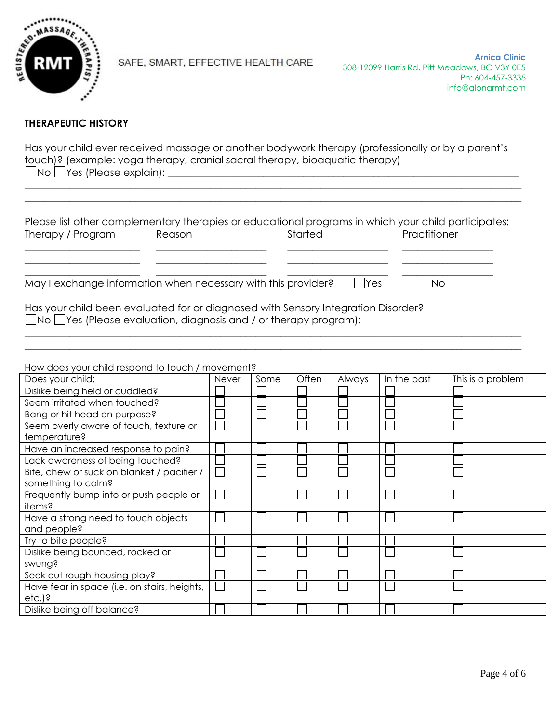

#### **THERAPEUTIC HISTORY**

Has your child ever received massage or another bodywork therapy (professionally or by a parent's touch)? (example: yoga therapy, cranial sacral therapy, bioaquatic therapy) No Yes (Please explain): \_\_\_\_\_\_\_\_\_\_\_\_\_\_\_\_\_\_\_\_\_\_\_\_\_\_\_\_\_\_\_\_\_\_\_\_\_\_\_\_\_\_\_\_\_\_\_\_\_\_\_\_\_\_\_\_\_\_\_\_\_\_\_\_\_\_\_\_\_\_

 $\_$  , and the set of the set of the set of the set of the set of the set of the set of the set of the set of the set of the set of the set of the set of the set of the set of the set of the set of the set of the set of th  $\_$  , and the set of the set of the set of the set of the set of the set of the set of the set of the set of the set of the set of the set of the set of the set of the set of the set of the set of the set of the set of th

| Please list other complementary therapies or educational programs in which your child participates: |        |         |                         |  |  |  |  |
|-----------------------------------------------------------------------------------------------------|--------|---------|-------------------------|--|--|--|--|
| Therapy / Program                                                                                   | Reason | Started | Practitioner            |  |  |  |  |
|                                                                                                     |        |         |                         |  |  |  |  |
|                                                                                                     |        |         |                         |  |  |  |  |
| May I exchange information when necessary with this provider?                                       |        |         | <b>Yes</b><br><b>No</b> |  |  |  |  |

 $\_$  ,  $\_$  ,  $\_$  ,  $\_$  ,  $\_$  ,  $\_$  ,  $\_$  ,  $\_$  ,  $\_$  ,  $\_$  ,  $\_$  ,  $\_$  ,  $\_$  ,  $\_$  ,  $\_$  ,  $\_$  ,  $\_$  ,  $\_$  ,  $\_$  ,  $\_$  ,  $\_$  ,  $\_$  ,  $\_$  ,  $\_$  ,  $\_$  ,  $\_$  ,  $\_$  ,  $\_$  ,  $\_$  ,  $\_$  ,  $\_$  ,  $\_$  ,  $\_$  ,  $\_$  ,  $\_$  ,  $\_$  ,  $\_$  ,  $\_$  , and the set of the set of the set of the set of the set of the set of the set of the set of the set of the set of the set of the set of the set of the set of the set of the set of the set of the set of the set of th

Has your child been evaluated for or diagnosed with Sensory Integration Disorder? No Yes (Please evaluation, diagnosis and / or therapy program):

How does your child respond to touch / movement?

| Does your child:                                                 | <b>Never</b> | Some | Often | Always | In the past | This is a problem |
|------------------------------------------------------------------|--------------|------|-------|--------|-------------|-------------------|
| Dislike being held or cuddled?                                   |              |      |       |        |             |                   |
| Seem irritated when touched?                                     |              |      |       |        |             |                   |
| Bang or hit head on purpose?                                     |              |      |       |        |             |                   |
| Seem overly aware of touch, texture or<br>temperature?           |              |      |       |        |             |                   |
| Have an increased response to pain?                              |              |      |       |        |             |                   |
| Lack awareness of being touched?                                 |              |      |       |        |             |                   |
| Bite, chew or suck on blanket / pacifier /<br>something to calm? |              |      |       |        |             |                   |
| Frequently bump into or push people or<br>items?                 |              |      |       |        |             |                   |
| Have a strong need to touch objects<br>and people?               |              |      |       |        |             |                   |
| Try to bite people?                                              |              |      |       |        |             |                   |
| Dislike being bounced, rocked or<br>swung?                       |              |      |       |        |             |                   |
| Seek out rough-housing play?                                     |              |      |       |        |             |                   |
| Have fear in space (i.e. on stairs, heights,<br>$etc.$ )?        |              |      |       |        |             |                   |
| Dislike being off balance?                                       |              |      |       |        |             |                   |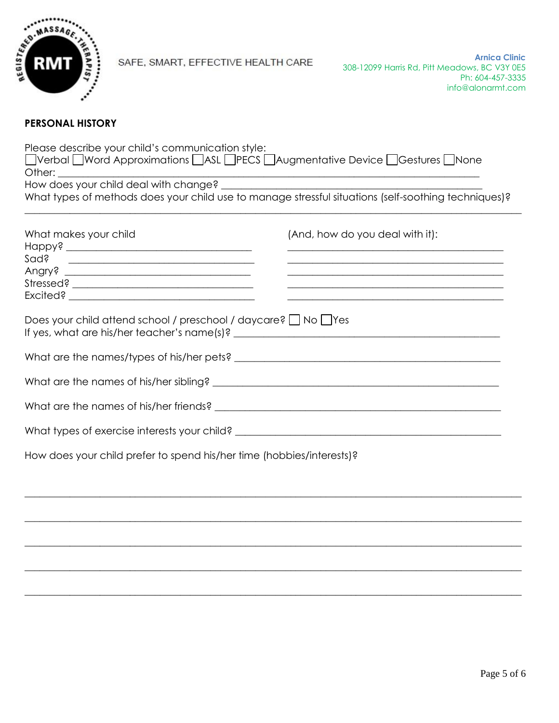

#### **PERSONAL HISTORY**

Please describe your child's communication style: □Verbal □Word Approximations □ASL □PECS □Augmentative Device □Gestures □None Other: How does your child deal with change? What types of methods does your child use to manage stressful situations (self-soothing techniques)?  $\_$  , and the set of the set of the set of the set of the set of the set of the set of the set of the set of the set of the set of the set of the set of the set of the set of the set of the set of the set of the set of th What makes your child  $(And, how do you deal with it):$ Happy? \_\_\_\_\_\_\_\_\_\_\_\_\_\_\_\_\_\_\_\_\_\_\_\_\_\_\_\_\_\_\_\_\_\_\_\_\_ \_\_\_\_\_\_\_\_\_\_\_\_\_\_\_\_\_\_\_\_\_\_\_\_\_\_\_\_\_\_\_\_\_\_\_\_\_\_\_\_\_\_\_ Sad? \_\_\_\_\_\_\_\_\_\_\_\_\_\_\_\_\_\_\_\_\_\_\_\_\_\_\_\_\_\_\_\_\_\_\_\_\_ \_\_\_\_\_\_\_\_\_\_\_\_\_\_\_\_\_\_\_\_\_\_\_\_\_\_\_\_\_\_\_\_\_\_\_\_\_\_\_\_\_\_\_ Angry? \_\_\_\_\_\_\_\_\_\_\_\_\_\_\_\_\_\_\_\_\_\_\_\_\_\_\_\_\_\_\_\_\_\_\_\_\_ \_\_\_\_\_\_\_\_\_\_\_\_\_\_\_\_\_\_\_\_\_\_\_\_\_\_\_\_\_\_\_\_\_\_\_\_\_\_\_\_\_\_\_ Stressed? \_\_\_\_\_\_\_\_\_\_\_\_\_\_\_\_\_\_\_\_\_\_\_\_\_\_\_\_\_\_\_\_\_\_\_\_ \_\_\_\_\_\_\_\_\_\_\_\_\_\_\_\_\_\_\_\_\_\_\_\_\_\_\_\_\_\_\_\_\_\_\_\_\_\_\_\_\_\_\_ Excited? \_\_\_\_\_\_\_\_\_\_\_\_\_\_\_\_\_\_\_\_\_\_\_\_\_\_\_\_\_\_\_\_\_\_\_\_\_ \_\_\_\_\_\_\_\_\_\_\_\_\_\_\_\_\_\_\_\_\_\_\_\_\_\_\_\_\_\_\_\_\_\_\_\_\_\_\_\_\_\_\_ Does your child attend school / preschool / daycare?  $\Box$  No  $\Box$  Yes If yes, what are his/her teacher's name(s)? \_\_\_\_\_\_\_\_\_\_\_\_\_\_\_\_\_\_\_\_\_\_\_\_\_\_\_\_\_\_\_\_\_\_\_\_\_\_\_\_\_\_\_\_\_\_\_\_\_\_\_\_\_ What are the names/types of his/her pets? What are the names of his/her sibling? What are the names of his/her friends? \_\_\_\_\_\_\_\_\_\_\_\_\_\_\_\_\_\_\_\_\_\_\_\_\_\_\_\_\_\_\_\_\_\_\_\_\_\_\_\_\_\_\_\_\_\_\_\_\_\_\_\_\_\_\_\_\_ What types of exercise interests your child? \_\_\_\_\_\_\_\_\_\_\_\_\_\_\_\_\_\_\_\_\_\_\_\_\_\_\_\_\_\_\_\_\_\_\_

 $\_$  , and the set of the set of the set of the set of the set of the set of the set of the set of the set of the set of the set of the set of the set of the set of the set of the set of the set of the set of the set of th

 $\_$  , and the set of the set of the set of the set of the set of the set of the set of the set of the set of the set of the set of the set of the set of the set of the set of the set of the set of the set of the set of th

 $\_$  , and the set of the set of the set of the set of the set of the set of the set of the set of the set of the set of the set of the set of the set of the set of the set of the set of the set of the set of the set of th

 $\_$  ,  $\_$  ,  $\_$  ,  $\_$  ,  $\_$  ,  $\_$  ,  $\_$  ,  $\_$  ,  $\_$  ,  $\_$  ,  $\_$  ,  $\_$  ,  $\_$  ,  $\_$  ,  $\_$  ,  $\_$  ,  $\_$  ,  $\_$  ,  $\_$  ,  $\_$  ,  $\_$  ,  $\_$  ,  $\_$  ,  $\_$  ,  $\_$  ,  $\_$  ,  $\_$  ,  $\_$  ,  $\_$  ,  $\_$  ,  $\_$  ,  $\_$  ,  $\_$  ,  $\_$  ,  $\_$  ,  $\_$  ,  $\_$  ,

 $\_$  , and the set of the set of the set of the set of the set of the set of the set of the set of the set of the set of the set of the set of the set of the set of the set of the set of the set of the set of the set of th

How does your child prefer to spend his/her time (hobbies/interests)?